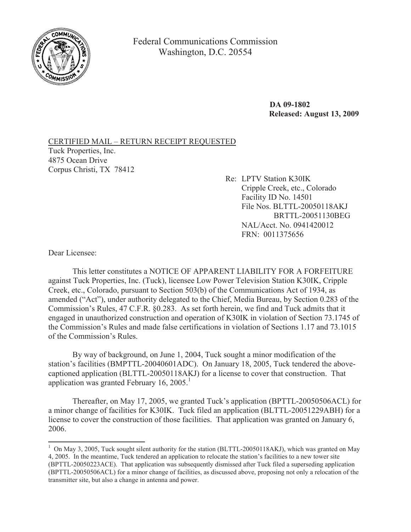

Federal Communications Commission Washington, D.C. 20554

> **DA 09-1802 Released: August 13, 2009**

CERTIFIED MAIL – RETURN RECEIPT REQUESTED Tuck Properties, Inc. 4875 Ocean Drive Corpus Christi, TX 78412

Re: LPTV Station K30IK Cripple Creek, etc., Colorado Facility ID No. 14501 File Nos. BLTTL-20050118AKJ BRTTL-20051130BEG NAL/Acct. No. 0941420012 FRN: 0011375656

Dear Licensee:

This letter constitutes a NOTICE OF APPARENT LIABILITY FOR A FORFEITURE against Tuck Properties, Inc. (Tuck), licensee Low Power Television Station K30IK, Cripple Creek, etc., Colorado, pursuant to Section 503(b) of the Communications Act of 1934, as amended ("Act"), under authority delegated to the Chief, Media Bureau, by Section 0.283 of the Commission's Rules, 47 C.F.R. §0.283. As set forth herein, we find and Tuck admits that it engaged in unauthorized construction and operation of K30IK in violation of Section 73.1745 of the Commission's Rules and made false certifications in violation of Sections 1.17 and 73.1015 of the Commission's Rules.

By way of background, on June 1, 2004, Tuck sought a minor modification of the station's facilities (BMPTTL-20040601ADC). On January 18, 2005, Tuck tendered the abovecaptioned application (BLTTL-20050118AKJ) for a license to cover that construction. That application was granted February 16,  $2005<sup>1</sup>$ 

Thereafter, on May 17, 2005, we granted Tuck's application (BPTTL-20050506ACL) for a minor change of facilities for K30IK. Tuck filed an application (BLTTL-20051229ABH) for a license to cover the construction of those facilities. That application was granted on January 6, 2006.

<sup>&</sup>lt;sup>1</sup> On May 3, 2005, Tuck sought silent authority for the station (BLTTL-20050118AKJ), which was granted on May 4, 2005. In the meantime, Tuck tendered an application to relocate the station's facilities to a new tower site (BPTTL-20050223ACE). That application was subsequently dismissed after Tuck filed a superseding application (BPTTL-20050506ACL) for a minor change of facilities, as discussed above, proposing not only a relocation of the transmitter site, but also a change in antenna and power.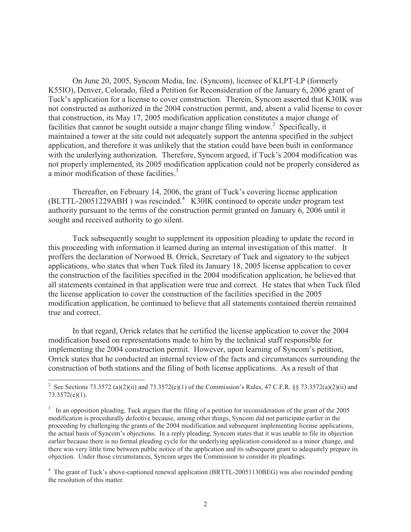On June 20, 2005, Syncom Media, Inc. (Syncom), licensee of KLPT-LP (formerly K55IO), Denver, Colorado, filed a Petition for Reconsideration of the January 6, 2006 grant of Tuck's application for a license to cover construction. Therein, Syncom asserted that K30IK was not constructed as authorized in the 2004 construction permit, and, absent a valid license to cover that construction, its May 17, 2005 modification application constitutes a major change of facilities that cannot be sought outside a major change filing window.<sup>2</sup> Specifically, it maintained a tower at the site could not adequately support the antenna specified in the subject application, and therefore it was unlikely that the station could have been built in conformance with the underlying authorization. Therefore, Syncom argued, if Tuck's 2004 modification was not properly implemented, its 2005 modification application could not be properly considered as a minor modification of those facilities.<sup>3</sup>

Thereafter, on February 14, 2006, the grant of Tuck's covering license application (BLTTL-20051229ABH ) was rescinded.<sup>4</sup> K30IK continued to operate under program test authority pursuant to the terms of the construction permit granted on January 6, 2006 until it sought and received authority to go silent.

Tuck subsequently sought to supplement its opposition pleading to update the record in this proceeding with information it learned during an internal investigation of this matter. It proffers the declaration of Norwood B. Orrick, Secretary of Tuck and signatory to the subject applications, who states that when Tuck filed its January 18, 2005 license application to cover the construction of the facilities specified in the 2004 modification application, he believed that all statements contained in that application were true and correct. He states that when Tuck filed the license application to cover the construction of the facilities specified in the 2005 modification application, he continued to believe that all statements contained therein remained true and correct.

In that regard, Orrick relates that he certified the license application to cover the 2004 modification based on representations made to him by the technical staff responsible for implementing the 2004 construction permit. However, upon learning of Syncom's petition, Orrick states that he conducted an internal review of the facts and circumstances surrounding the construction of both stations and the filing of both license applications. As a result of that

<sup>&</sup>lt;sup>2</sup> See Sections 73.3572 (a)(2)(ii) and 73.3572(e)(1) of the Commission's Rules, 47 C.F.R. §§ 73.3572(a)(2)(ii) and 73.3572(e)(1).

<sup>&</sup>lt;sup>3</sup> In an opposition pleading, Tuck argues that the filing of a petition for reconsideration of the grant of the 2005 modification is procedurally defective because, among other things, Syncom did not participate earlier in the proceeding by challenging the grants of the 2004 modification and subsequent implementing license applications, the actual basis of Syncom's objections. In a reply pleading, Syncom states that it was unable to file its objection earlier because there is no formal pleading cycle for the underlying application considered as a minor change, and there was very little time between public notice of the application and its subsequent grant to adequately prepare its objection. Under those circumstances, Syncom urges the Commission to consider its pleadings.

<sup>4</sup> The grant of Tuck's above-captioned renewal application (BRTTL-20051130BEG) was also rescinded pending the resolution of this matter.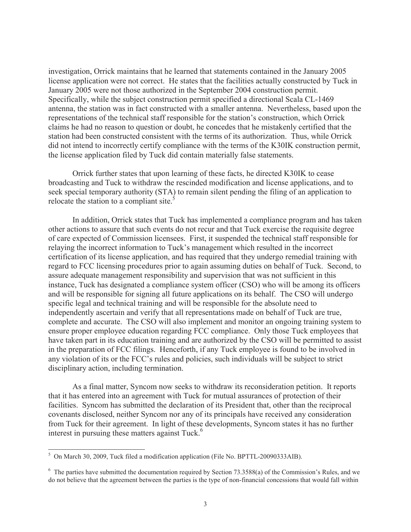investigation, Orrick maintains that he learned that statements contained in the January 2005 license application were not correct. He states that the facilities actually constructed by Tuck in January 2005 were not those authorized in the September 2004 construction permit. Specifically, while the subject construction permit specified a directional Scala CL-1469 antenna, the station was in fact constructed with a smaller antenna. Nevertheless, based upon the representations of the technical staff responsible for the station's construction, which Orrick claims he had no reason to question or doubt, he concedes that he mistakenly certified that the station had been constructed consistent with the terms of its authorization. Thus, while Orrick did not intend to incorrectly certify compliance with the terms of the K30IK construction permit, the license application filed by Tuck did contain materially false statements.

Orrick further states that upon learning of these facts, he directed K30IK to cease broadcasting and Tuck to withdraw the rescinded modification and license applications, and to seek special temporary authority (STA) to remain silent pending the filing of an application to relocate the station to a compliant site. $5$ 

In addition, Orrick states that Tuck has implemented a compliance program and has taken other actions to assure that such events do not recur and that Tuck exercise the requisite degree of care expected of Commission licensees. First, it suspended the technical staff responsible for relaying the incorrect information to Tuck's management which resulted in the incorrect certification of its license application, and has required that they undergo remedial training with regard to FCC licensing procedures prior to again assuming duties on behalf of Tuck. Second, to assure adequate management responsibility and supervision that was not sufficient in this instance, Tuck has designated a compliance system officer (CSO) who will be among its officers and will be responsible for signing all future applications on its behalf. The CSO will undergo specific legal and technical training and will be responsible for the absolute need to independently ascertain and verify that all representations made on behalf of Tuck are true, complete and accurate. The CSO will also implement and monitor an ongoing training system to ensure proper employee education regarding FCC compliance. Only those Tuck employees that have taken part in its education training and are authorized by the CSO will be permitted to assist in the preparation of FCC filings. Henceforth, if any Tuck employee is found to be involved in any violation of its or the FCC's rules and policies, such individuals will be subject to strict disciplinary action, including termination.

As a final matter, Syncom now seeks to withdraw its reconsideration petition. It reports that it has entered into an agreement with Tuck for mutual assurances of protection of their facilities. Syncom has submitted the declaration of its President that, other than the reciprocal covenants disclosed, neither Syncom nor any of its principals have received any consideration from Tuck for their agreement. In light of these developments, Syncom states it has no further interest in pursuing these matters against Tuck.<sup>6</sup>

<sup>5</sup> On March 30, 2009, Tuck filed a modification application (File No. BPTTL-20090333AIB).

 $6$  The parties have submitted the documentation required by Section 73.3588(a) of the Commission's Rules, and we do not believe that the agreement between the parties is the type of non-financial concessions that would fall within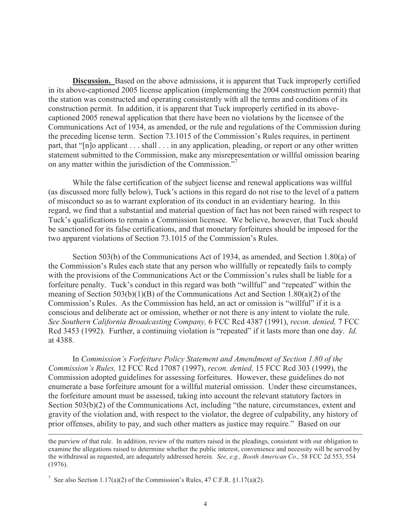**Discussion.** Based on the above admissions, it is apparent that Tuck improperly certified in its above-captioned 2005 license application (implementing the 2004 construction permit) that the station was constructed and operating consistently with all the terms and conditions of its construction permit. In addition, it is apparent that Tuck improperly certified in its abovecaptioned 2005 renewal application that there have been no violations by the licensee of the Communications Act of 1934, as amended, or the rule and regulations of the Commission during the preceding license term. Section 73.1015 of the Commission's Rules requires, in pertinent part, that "[n]o applicant . . . shall . . . in any application, pleading, or report or any other written statement submitted to the Commission, make any misrepresentation or willful omission bearing on any matter within the jurisdiction of the Commission."<sup>7</sup>

While the false certification of the subject license and renewal applications was willful (as discussed more fully below), Tuck's actions in this regard do not rise to the level of a pattern of misconduct so as to warrant exploration of its conduct in an evidentiary hearing. In this regard, we find that a substantial and material question of fact has not been raised with respect to Tuck's qualifications to remain a Commission licensee. We believe, however, that Tuck should be sanctioned for its false certifications, and that monetary forfeitures should be imposed for the two apparent violations of Section 73.1015 of the Commission's Rules.

Section 503(b) of the Communications Act of 1934, as amended, and Section 1.80(a) of the Commission's Rules each state that any person who willfully or repeatedly fails to comply with the provisions of the Communications Act or the Commission's rules shall be liable for a forfeiture penalty. Tuck's conduct in this regard was both "willful" and "repeated" within the meaning of Section 503(b)(1)(B) of the Communications Act and Section 1.80(a)(2) of the Commission's Rules. As the Commission has held, an act or omission is "willful" if it is a conscious and deliberate act or omission, whether or not there is any intent to violate the rule. *See Southern California Broadcasting Company,* 6 FCC Rcd 4387 (1991), *recon. denied,* 7 FCC Rcd 3453 (1992). Further, a continuing violation is "repeated" if it lasts more than one day. *Id.*  at 4388.

In *Commission's Forfeiture Policy Statement and Amendment of Section 1.80 of the Commission's Rules,* 12 FCC Rcd 17087 (1997), *recon. denied,* 15 FCC Rcd 303 (1999), the Commission adopted guidelines for assessing forfeitures. However, these guidelines do not enumerate a base forfeiture amount for a willful material omission. Under these circumstances, the forfeiture amount must be assessed, taking into account the relevant statutory factors in Section 503(b)(2) of the Communications Act, including "the nature, circumstances, extent and gravity of the violation and, with respect to the violator, the degree of culpability, any history of prior offenses, ability to pay, and such other matters as justice may require." Based on our

the purview of that rule. In addition, review of the matters raised in the pleadings, consistent with our obligation to examine the allegations raised to determine whether the public interest, convenience and necessity will be served by the withdrawal as requested, are adequately addressed herein. *See, e.g., Booth American Co.,* 58 FCC 2d 553, 554 (1976).

<sup>7</sup> See also Section 1.17(a)(2) of the Commission's Rules, 47 C.F.R. §1.17(a)(2).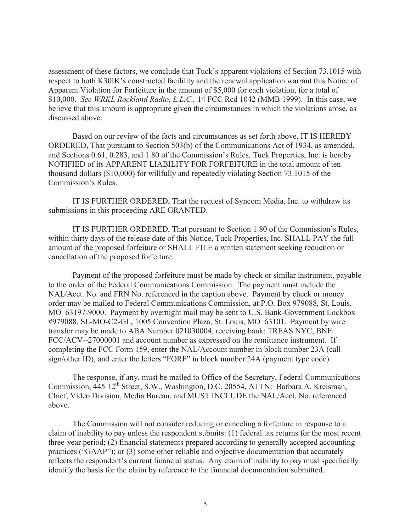assessment of these factors, we conclude that Tuck's apparent violations of Section 73.1015 with respect to both K30IK's constructed facilility and the renewal application warrant this Notice of Apparent Violation for Forfeiture in the amount of \$5,000 for each violation, for a total of \$10,000. *See WRKL Rockland Radio, L.L.C.,* 14 FCC Rcd 1042 (MMB 1999). In this case, we believe that this amount is appropriate given the circumstances in which the violations arose, as discussed above.

Based on our review of the facts and circumstances as set forth above, IT IS HEREBY ORDERED, That pursuant to Section 503(b) of the Communications Act of 1934, as amended, and Sections 0.61, 0.283, and 1.80 of the Commission's Rules, Tuck Properties, Inc. is hereby NOTIFIED of its APPARENT LIABILITY FOR FORFEITURE in the total amount of ten thousand dollars (\$10,000) for willfully and repeatedly violating Section 73.1015 of the Commission's Rules.

IT IS FURTHER ORDERED, That the request of Syncom Media, Inc. to withdraw its submissions in this proceeding ARE GRANTED.

IT IS FURTHER ORDERED, That pursuant to Section 1.80 of the Commission's Rules, within thirty days of the release date of this Notice, Tuck Properties, Inc. SHALL PAY the full amount of the proposed forfeiture or SHALL FILE a written statement seeking reduction or cancellation of the proposed forfeiture.

Payment of the proposed forfeiture must be made by check or similar instrument, payable to the order of the Federal Communications Commission. The payment must include the NAL/Acct. No. and FRN No. referenced in the caption above. Payment by check or money order may be mailed to Federal Communications Commission, at P.O. Box 979088, St. Louis, MO 63197-9000. Payment by overnight mail may be sent to U.S. Bank-Government Lockbox #979088, SL-MO-C2-GL, 1005 Convention Plaza, St. Louis, MO 63101. Payment by wire transfer may be made to ABA Number 021030004, receiving bank: TREAS NYC, BNF: FCC/ACV--27000001 and account number as expressed on the remittance instrument. If completing the FCC Form 159, enter the NAL/Account number in block number 23A (call sign/other ID), and enter the letters "FORF" in block number 24A (payment type code).

The response, if any, must be mailed to Office of the Secretary, Federal Communications Commission, 445 12<sup>th</sup> Street, S.W., Washington, D.C. 20554, ATTN: Barbara A. Kreisman, Chief, Video Division, Media Bureau, and MUST INCLUDE the NAL/Acct. No. referenced above.

The Commission will not consider reducing or canceling a forfeiture in response to a claim of inability to pay unless the respondent submits: (1) federal tax returns for the most recent three-year period; (2) financial statements prepared according to generally accepted accounting practices ("GAAP"); or (3) some other reliable and objective documentation that accurately reflects the respondent's current financial status. Any claim of inability to pay must specifically identify the basis for the claim by reference to the financial documentation submitted.